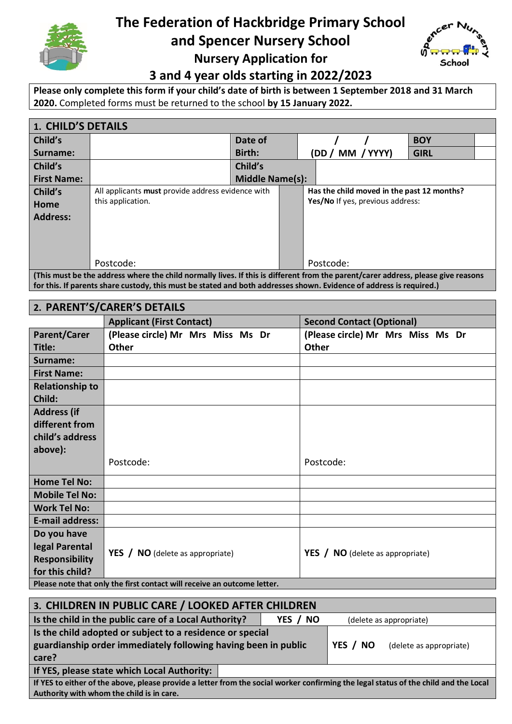

# **The Federation of Hackbridge Primary School**

**and Spencer Nursery School**



**Nursery Application for**

**3 and 4 year olds starting in 2022/2023**

**Please only complete this form if your child's date of birth is between 1 September 2018 and 31 March 2020.** Completed forms must be returned to the school **by 15 January 2022.**

| <b>1. CHILD'S DETAILS</b>                                                                                                         |                                                   |         |  |                                            |             |  |
|-----------------------------------------------------------------------------------------------------------------------------------|---------------------------------------------------|---------|--|--------------------------------------------|-------------|--|
| Child's                                                                                                                           |                                                   | Date of |  |                                            | <b>BOY</b>  |  |
| Surname:                                                                                                                          |                                                   | Birth:  |  | MM / YYYY)<br>(DD /                        | <b>GIRL</b> |  |
| Child's                                                                                                                           |                                                   | Child's |  |                                            |             |  |
| <b>First Name:</b>                                                                                                                | <b>Middle Name(s):</b>                            |         |  |                                            |             |  |
| Child's                                                                                                                           | All applicants must provide address evidence with |         |  | Has the child moved in the past 12 months? |             |  |
| Home                                                                                                                              | this application.                                 |         |  | Yes/No If yes, previous address:           |             |  |
| <b>Address:</b>                                                                                                                   |                                                   |         |  |                                            |             |  |
|                                                                                                                                   |                                                   |         |  |                                            |             |  |
|                                                                                                                                   |                                                   |         |  |                                            |             |  |
|                                                                                                                                   |                                                   |         |  |                                            |             |  |
|                                                                                                                                   | Postcode:                                         |         |  | Postcode:                                  |             |  |
| (This must be the address where the child normally lives. If this is different from the parent/carer address, please give reasons |                                                   |         |  |                                            |             |  |

**for this. If parents share custody, this must be stated and both addresses shown. Evidence of address is required.)**

| 2. PARENT'S/CARER'S DETAILS                                             |                                           |                                                |  |
|-------------------------------------------------------------------------|-------------------------------------------|------------------------------------------------|--|
|                                                                         | <b>Applicant (First Contact)</b>          | <b>Second Contact (Optional)</b>               |  |
| <b>Parent/Carer</b>                                                     | (Please circle) Mr Mrs Miss Ms Dr         | (Please circle) Mr Mrs Miss Ms Dr              |  |
| Title:                                                                  | <b>Other</b>                              | <b>Other</b>                                   |  |
| Surname:                                                                |                                           |                                                |  |
| <b>First Name:</b>                                                      |                                           |                                                |  |
| <b>Relationship to</b>                                                  |                                           |                                                |  |
| Child:                                                                  |                                           |                                                |  |
| <b>Address (if</b>                                                      |                                           |                                                |  |
| different from                                                          |                                           |                                                |  |
| child's address                                                         |                                           |                                                |  |
| above):                                                                 |                                           |                                                |  |
|                                                                         | Postcode:                                 | Postcode:                                      |  |
| <b>Home Tel No:</b>                                                     |                                           |                                                |  |
| <b>Mobile Tel No:</b>                                                   |                                           |                                                |  |
| <b>Work Tel No:</b>                                                     |                                           |                                                |  |
| <b>E-mail address:</b>                                                  |                                           |                                                |  |
| Do you have                                                             |                                           |                                                |  |
| legal Parental                                                          | <b>YES</b> / $NO$ (delete as appropriate) | <b>YES</b> / <b>NO</b> (delete as appropriate) |  |
| <b>Responsibility</b>                                                   |                                           |                                                |  |
| for this child?                                                         |                                           |                                                |  |
| Please note that only the first contact will receive an outcome letter. |                                           |                                                |  |

| 3. CHILDREN IN PUBLIC CARE / LOOKED AFTER CHILDREN                                                                                   |                         |                         |  |  |
|--------------------------------------------------------------------------------------------------------------------------------------|-------------------------|-------------------------|--|--|
| Is the child in the public care of a Local Authority?                                                                                | (delete as appropriate) |                         |  |  |
| Is the child adopted or subject to a residence or special                                                                            |                         |                         |  |  |
| guardianship order immediately following having been in public                                                                       | YES / NO                | (delete as appropriate) |  |  |
| care?                                                                                                                                |                         |                         |  |  |
| If YES, please state which Local Authority:                                                                                          |                         |                         |  |  |
| If YES to either of the above, please provide a letter from the social worker confirming the legal status of the child and the Local |                         |                         |  |  |
| Authority with whom the child is in care.                                                                                            |                         |                         |  |  |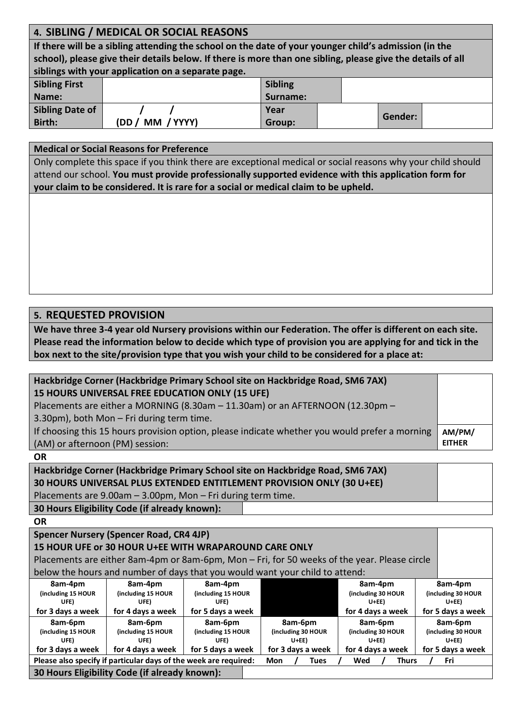# **4. SIBLING / MEDICAL OR SOCIAL REASONS**

**If there will be a sibling attending the school on the date of your younger child's admission (in the school), please give their details below. If there is more than one sibling, please give the details of all siblings with your application on a separate page.** 

| <b>Sibling First</b> |                    | <b>Sibling</b> |         |
|----------------------|--------------------|----------------|---------|
| Name:                |                    | Surname:       |         |
| Sibling Date of      |                    | Year           |         |
| <b>Birth:</b>        | MM / YYYY)<br>(DD) | Group:         | Gender: |

## **Medical or Social Reasons for Preference**

Only complete this space if you think there are exceptional medical or social reasons why your child should attend our school. **You must provide professionally supported evidence with this application form for your claim to be considered. It is rare for a social or medical claim to be upheld.**

## **5. REQUESTED PROVISION**

**We have three 3-4 year old Nursery provisions within our Federation. The offer is different on each site. Please read the information below to decide which type of provision you are applying for and tick in the box next to the site/provision type that you wish your child to be considered for a place at:**

| Hackbridge Corner (Hackbridge Primary School site on Hackbridge Road, SM6 7AX)                 |               |
|------------------------------------------------------------------------------------------------|---------------|
| 15 HOURS UNIVERSAL FREE EDUCATION ONLY (15 UFE)                                                |               |
| Placements are either a MORNING (8.30am - 11.30am) or an AFTERNOON (12.30pm -                  |               |
| 3.30pm), both Mon - Fri during term time.                                                      |               |
| If choosing this 15 hours provision option, please indicate whether you would prefer a morning | AM/PM/        |
| (AM) or afternoon (PM) session:                                                                | <b>EITHER</b> |
| 0D.                                                                                            |               |

**OR**

| Hackbridge Corner (Hackbridge Primary School site on Hackbridge Road, SM6 7AX) |  |  |
|--------------------------------------------------------------------------------|--|--|
| 30 HOURS UNIVERSAL PLUS EXTENDED ENTITLEMENT PROVISION ONLY (30 U+EE)          |  |  |
| Placements are $9.00$ am $-3.00$ pm, Mon $-$ Fri during term time.             |  |  |
| 30 Hours Eligibility Code (if already known):                                  |  |  |

#### **OR**

**Spencer Nursery (Spencer Road, CR4 4JP)**

## **15 HOUR UFE or 30 HOUR U+EE WITH WRAPAROUND CARE ONLY**

Placements are either 8am-4pm or 8am-6pm, Mon – Fri, for 50 weeks of the year. Please circle

below the hours and number of days that you would want your child to attend:

| 8am-4pm                                                          | 8am-4pm            | 8am-4pm            |                    | 8am-4pm            | 8am-4pm            |
|------------------------------------------------------------------|--------------------|--------------------|--------------------|--------------------|--------------------|
| (including 15 HOUR                                               | (including 15 HOUR | (including 15 HOUR |                    | (including 30 HOUR | (including 30 HOUR |
| UFE).                                                            | UFE)               | UFE)               |                    | $U + EE$           | $U + EE$           |
| for 3 days a week                                                | for 4 days a week  | for 5 days a week  |                    | for 4 days a week  | for 5 days a week  |
| 8am-6pm                                                          | 8am-6pm            | 8am-6pm            | 8am-6pm            | 8am-6pm            | 8am-6pm            |
| (including 15 HOUR                                               | (including 15 HOUR | (including 15 HOUR | (including 30 HOUR | (including 30 HOUR | (including 30 HOUR |
| UFE)                                                             | UFE)               | UFE)               | $U + EE$           | $U + EE$           | $U+EE$             |
| for 3 days a week                                                | for 4 days a week  | for 5 days a week  | for 3 days a week  | for 4 days a week  | for 5 days a week  |
| Please also specify if particular days of the week are required: |                    |                    | Mon<br>Tues        | Wed<br>Thurs       | Fri                |
| 30 Hours Eligibility Code (if already known):                    |                    |                    |                    |                    |                    |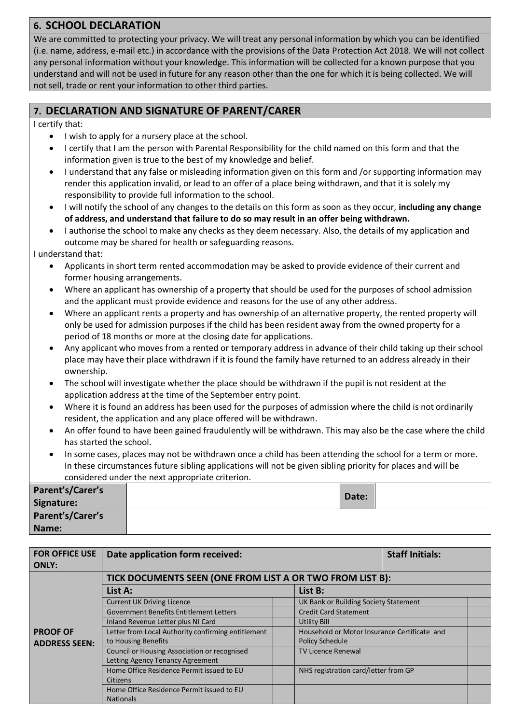# **6. SCHOOL DECLARATION**

We are committed to protecting your privacy. We will treat any personal information by which you can be identified (i.e. name, address, e-mail etc.) in accordance with the provisions of the Data Protection Act 2018. We will not collect any personal information without your knowledge. This information will be collected for a known purpose that you understand and will not be used in future for any reason other than the one for which it is being collected. We will not sell, trade or rent your information to other third parties.

# **7. DECLARATION AND SIGNATURE OF PARENT/CARER**

I certify that:

- I wish to apply for a nursery place at the school.
- I certify that I am the person with Parental Responsibility for the child named on this form and that the information given is true to the best of my knowledge and belief.
- I understand that any false or misleading information given on this form and /or supporting information may render this application invalid, or lead to an offer of a place being withdrawn, and that it is solely my responsibility to provide full information to the school.
- I will notify the school of any changes to the details on this form as soon as they occur, **including any change of address, and understand that failure to do so may result in an offer being withdrawn.**
- I authorise the school to make any checks as they deem necessary. Also, the details of my application and outcome may be shared for health or safeguarding reasons.

I understand that:

- Applicants in short term rented accommodation may be asked to provide evidence of their current and former housing arrangements.
- Where an applicant has ownership of a property that should be used for the purposes of school admission and the applicant must provide evidence and reasons for the use of any other address.
- Where an applicant rents a property and has ownership of an alternative property, the rented property will only be used for admission purposes if the child has been resident away from the owned property for a period of 18 months or more at the closing date for applications.
- Any applicant who moves from a rented or temporary address in advance of their child taking up their school place may have their place withdrawn if it is found the family have returned to an address already in their ownership.
- The school will investigate whether the place should be withdrawn if the pupil is not resident at the application address at the time of the September entry point.
- Where it is found an address has been used for the purposes of admission where the child is not ordinarily resident, the application and any place offered will be withdrawn.
- An offer found to have been gained fraudulently will be withdrawn. This may also be the case where the child has started the school.
- In some cases, places may not be withdrawn once a child has been attending the school for a term or more. In these circumstances future sibling applications will not be given sibling priority for places and will be considered under the next appropriate criterion.

| Parent's/Carer's<br>Signature: | Date: |  |
|--------------------------------|-------|--|
| Parent's/Carer's               |       |  |
| Name:                          |       |  |

| <b>FOR OFFICE USE</b><br><b>ONLY:</b>                                                                                           | Date application form received:                                                                                                                                                                                                            |                                       | <b>Staff Initials:</b> |  |
|---------------------------------------------------------------------------------------------------------------------------------|--------------------------------------------------------------------------------------------------------------------------------------------------------------------------------------------------------------------------------------------|---------------------------------------|------------------------|--|
|                                                                                                                                 | TICK DOCUMENTS SEEN (ONE FROM LIST A OR TWO FROM LIST B):                                                                                                                                                                                  |                                       |                        |  |
|                                                                                                                                 | List A:                                                                                                                                                                                                                                    | List B:                               |                        |  |
|                                                                                                                                 | <b>Current UK Driving Licence</b>                                                                                                                                                                                                          | UK Bank or Building Society Statement |                        |  |
|                                                                                                                                 | <b>Government Benefits Entitlement Letters</b><br><b>Credit Card Statement</b><br>Inland Revenue Letter plus NI Card<br>Utility Bill<br>Letter from Local Authority confirming entitlement<br>Household or Motor Insurance Certificate and |                                       |                        |  |
|                                                                                                                                 |                                                                                                                                                                                                                                            |                                       |                        |  |
| <b>PROOF OF</b>                                                                                                                 |                                                                                                                                                                                                                                            |                                       |                        |  |
| to Housing Benefits<br><b>ADDRESS SEEN:</b><br>Council or Housing Association or recognised<br>Letting Agency Tenancy Agreement |                                                                                                                                                                                                                                            | <b>Policy Schedule</b>                |                        |  |
|                                                                                                                                 |                                                                                                                                                                                                                                            | <b>TV Licence Renewal</b>             |                        |  |
|                                                                                                                                 | Home Office Residence Permit issued to EU<br><b>Citizens</b>                                                                                                                                                                               | NHS registration card/letter from GP  |                        |  |
|                                                                                                                                 | Home Office Residence Permit issued to EU                                                                                                                                                                                                  |                                       |                        |  |
|                                                                                                                                 | <b>Nationals</b>                                                                                                                                                                                                                           |                                       |                        |  |